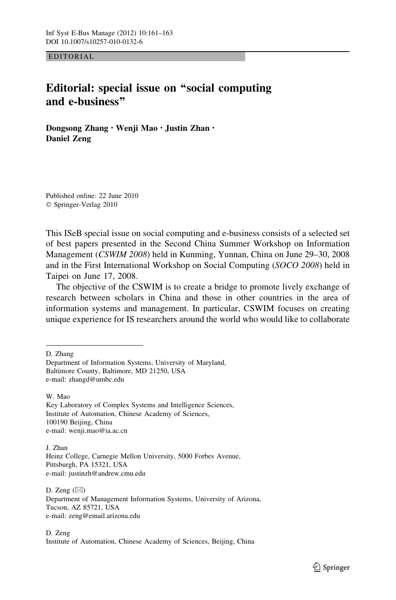EDITORIAL

## Editorial: special issue on "social computing" and e-business''

Dongsong Zhang • Wenji Mao • Justin Zhan • Daniel Zeng

Published online: 22 June 2010 © Springer-Verlag 2010

This ISeB special issue on social computing and e-business consists of a selected set of best papers presented in the Second China Summer Workshop on Information Management (CSWIM 2008) held in Kunming, Yunnan, China on June 29–30, 2008 and in the First International Workshop on Social Computing (SOCO 2008) held in Taipei on June 17, 2008.

The objective of the CSWIM is to create a bridge to promote lively exchange of research between scholars in China and those in other countries in the area of information systems and management. In particular, CSWIM focuses on creating unique experience for IS researchers around the world who would like to collaborate

D. Zhang

W. Mao

J. Zhan Heinz College, Carnegie Mellon University, 5000 Forbes Avenue, Pittsburgh, PA 15321, USA e-mail: justinzh@andrew.cmu.edu

D. Zeng  $(\boxtimes)$ Department of Management Information Systems, University of Arizona, Tucson, AZ 85721, USA e-mail: zeng@email.arizona.edu

D. Zeng Institute of Automation, Chinese Academy of Sciences, Beijing, China

Department of Information Systems, University of Maryland, Baltimore County, Baltimore, MD 21250, USA e-mail: zhangd@umbc.edu

Key Laboratory of Complex Systems and Intelligence Sciences, Institute of Automation, Chinese Academy of Sciences, 100190 Beijing, China e-mail: wenji.mao@ia.ac.cn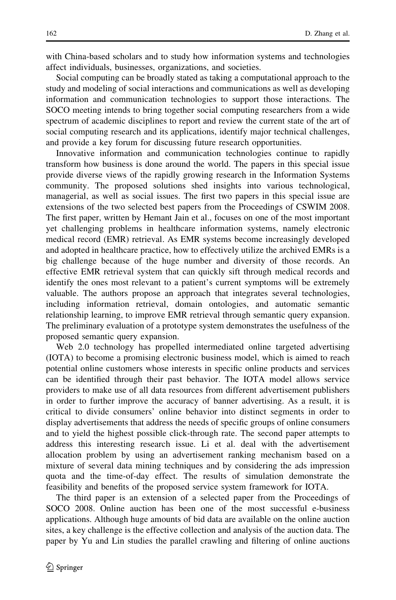with China-based scholars and to study how information systems and technologies affect individuals, businesses, organizations, and societies.

Social computing can be broadly stated as taking a computational approach to the study and modeling of social interactions and communications as well as developing information and communication technologies to support those interactions. The SOCO meeting intends to bring together social computing researchers from a wide spectrum of academic disciplines to report and review the current state of the art of social computing research and its applications, identify major technical challenges, and provide a key forum for discussing future research opportunities.

Innovative information and communication technologies continue to rapidly transform how business is done around the world. The papers in this special issue provide diverse views of the rapidly growing research in the Information Systems community. The proposed solutions shed insights into various technological, managerial, as well as social issues. The first two papers in this special issue are extensions of the two selected best papers from the Proceedings of CSWIM 2008. The first paper, written by Hemant Jain et al., focuses on one of the most important yet challenging problems in healthcare information systems, namely electronic medical record (EMR) retrieval. As EMR systems become increasingly developed and adopted in healthcare practice, how to effectively utilize the archived EMRs is a big challenge because of the huge number and diversity of those records. An effective EMR retrieval system that can quickly sift through medical records and identify the ones most relevant to a patient's current symptoms will be extremely valuable. The authors propose an approach that integrates several technologies, including information retrieval, domain ontologies, and automatic semantic relationship learning, to improve EMR retrieval through semantic query expansion. The preliminary evaluation of a prototype system demonstrates the usefulness of the proposed semantic query expansion.

Web 2.0 technology has propelled intermediated online targeted advertising (IOTA) to become a promising electronic business model, which is aimed to reach potential online customers whose interests in specific online products and services can be identified through their past behavior. The IOTA model allows service providers to make use of all data resources from different advertisement publishers in order to further improve the accuracy of banner advertising. As a result, it is critical to divide consumers' online behavior into distinct segments in order to display advertisements that address the needs of specific groups of online consumers and to yield the highest possible click-through rate. The second paper attempts to address this interesting research issue. Li et al. deal with the advertisement allocation problem by using an advertisement ranking mechanism based on a mixture of several data mining techniques and by considering the ads impression quota and the time-of-day effect. The results of simulation demonstrate the feasibility and benefits of the proposed service system framework for IOTA.

The third paper is an extension of a selected paper from the Proceedings of SOCO 2008. Online auction has been one of the most successful e-business applications. Although huge amounts of bid data are available on the online auction sites, a key challenge is the effective collection and analysis of the auction data. The paper by Yu and Lin studies the parallel crawling and filtering of online auctions